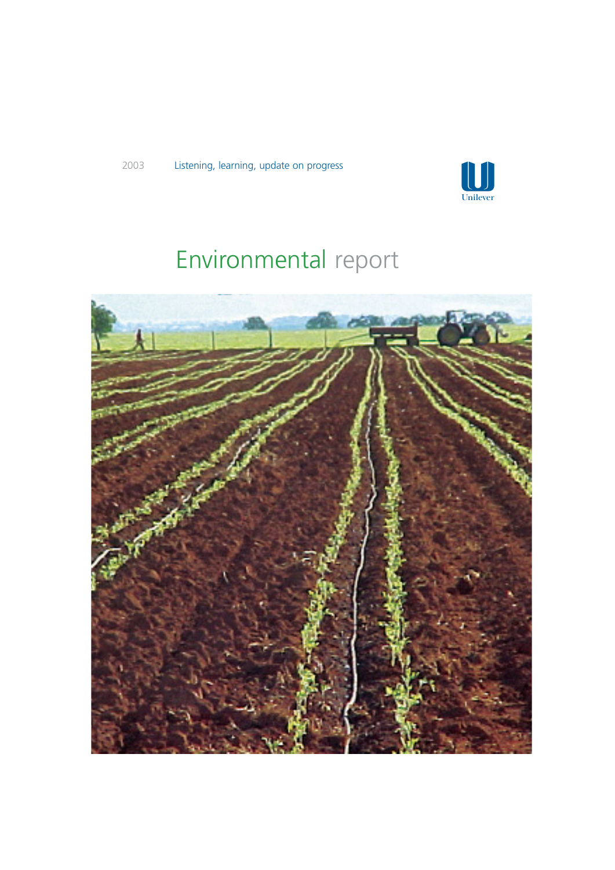

# Environmental report

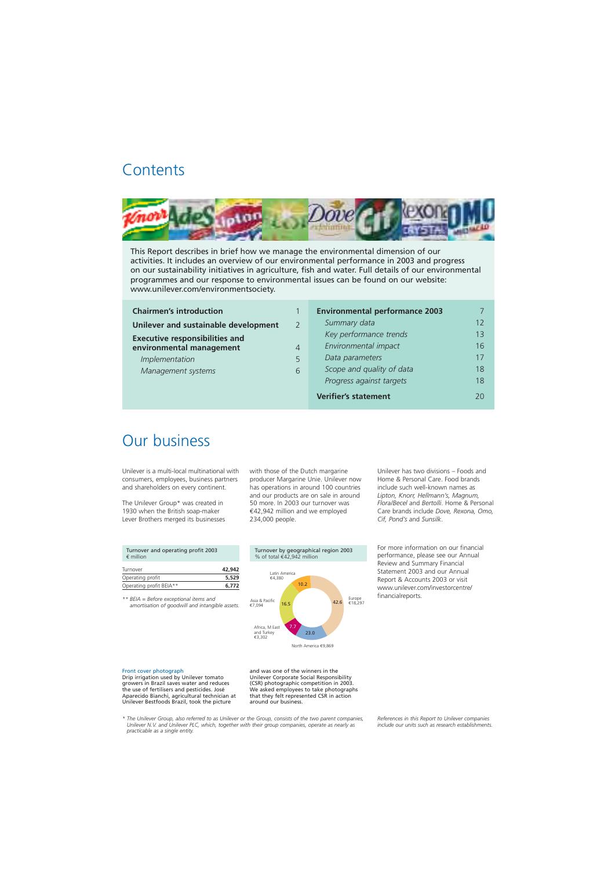## **Contents**



This Report describes in brief how we manage the environmental dimension of our activities. It includes an overview of our environmental performance in 2003 and progress on our sustainability initiatives in agriculture, fish and water. Full details of our environmental programmes and our response to environmental issues can be found on our website: www.unilever.com/environmentsociety.

| <b>Chairmen's introduction</b>        |   |
|---------------------------------------|---|
| Unilever and sustainable development  |   |
| <b>Executive responsibilities and</b> |   |
| environmental management              |   |
| Implementation                        | 5 |
| Management systems                    |   |
|                                       |   |

| <b>Chairmen's introduction</b>        |                | <b>Environmental performance 2003</b> |    |
|---------------------------------------|----------------|---------------------------------------|----|
| Unilever and sustainable development  | $\mathcal{L}$  | Summary data                          | 12 |
| <b>Executive responsibilities and</b> |                | Key performance trends                | 13 |
| environmental management              | $\overline{4}$ | Environmental impact                  | 16 |
| Implementation                        | 5              | Data parameters                       | 17 |
| Management systems                    | 6              | Scope and quality of data             | 18 |
|                                       |                | Progress against targets              | 18 |
|                                       |                | <b>Verifier's statement</b>           | 20 |

## Our business

Unilever is a multi-local multinational with consumers, employees, business partners and shareholders on every continent.

The Unilever Group\* was created in 1930 when the British soap-maker Lever Brothers merged its businesses

with those of the Dutch margarine producer Margarine Unie. Unilever now has operations in around 100 countries and our products are on sale in around 50 more. In 2003 our turnover was €42,942 million and we employed 234,000 people.

Unilever has two divisions – Foods and Home & Personal Care. Food brands include such well-known names as *Lipton, Knorr, Hellmann's, Magnum, Flora/Becel* and *Bertolli*. Home & Personal Care brands include *Dove, Rexona, Omo, Cif, Pond's* and *Sunsilk*.

For more information on our financial performance, please see our Annual Review and Summary Financial Statement 2003 and our Annual Report & Accounts 2003 or visit www.unilever.com/investorcentre/ financialreports.

| Turnover and operating profit 2003<br>$\epsilon$ million |  |
|----------------------------------------------------------|--|
| Г. <i>.</i>                                              |  |

| Turnover                | 42,942 |
|-------------------------|--------|
| Operating profit        | 5,529  |
| Operating profit BEIA** | 6.772  |

*\*\* BEIA = Before exceptional items and amortisation of goodwill and intangible assets.* 



Drip irrigation used by Unilever tomato growers in Brazil saves water and reduces (CSR) photographic competition in 2003. the use of fertilisers and pesticides. José We asked employees to take photographs<br>Aparecido Bianchi, agricultural technician at that they felt represented CSR in action Aparecido Bianchi, agricultural technician at that they felt represent Unilever Bestfoods Brazil, took the picture and action and our business. Unilever Bestfoods Brazil, took the picture

Front cover photograph and was one of the winners in the<br>
Drip irrigation used by Unilever tomato and Whilever Corporate Social Responsibility

*\* The Unilever Group, also referred to as Unilever or the Group, consists of the two parent companies, References in this Report to Unilever companies*  Unilever N.V. and Unilever PLC, which, together with their group companies, operate as nearly as *practicable as a single entity.*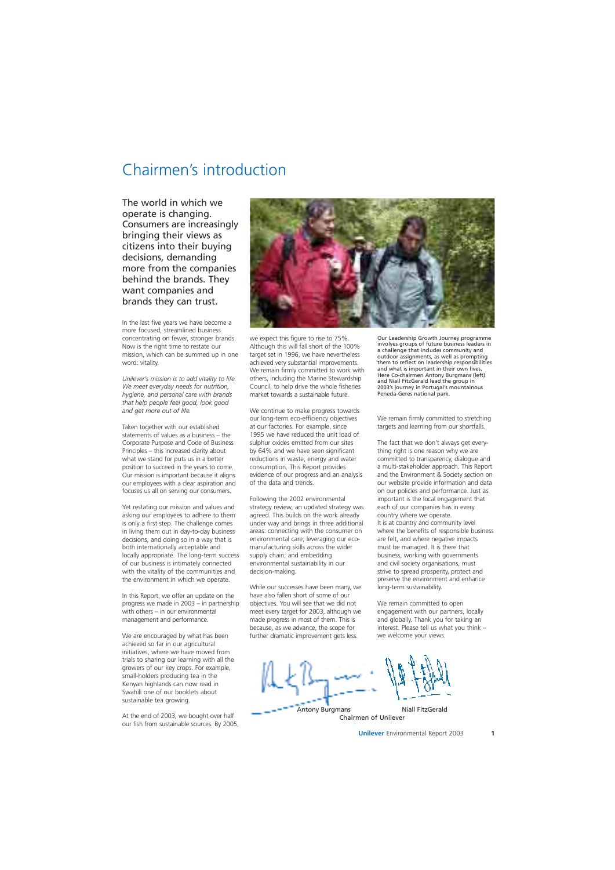## Chairmen's introduction

The world in which we operate is changing. Consumers are increasingly bringing their views as citizens into their buying decisions, demanding more from the companies behind the brands. They want companies and brands they can trust.

In the last five years we have become a more focused, streamlined business concentrating on fewer, stronger brands. Now is the right time to restate our mission, which can be summed up in one word: vitality.

*Unilever's mission is to add vitality to life. We meet everyday needs for nutrition, hygiene, and personal care with brands that help people feel good, look good and get more out of life.* 

Taken together with our established statements of values as a business – the Corporate Purpose and Code of Business Principles – this increased clarity about what we stand for puts us in a better position to succeed in the years to come. Our mission is important because it aligns our employees with a clear aspiration and focuses us all on serving our consumers.

Yet restating our mission and values and asking our employees to adhere to them is only a first step. The challenge comes in living them out in day-to-day business decisions, and doing so in a way that is both internationally acceptable and locally appropriate. The long-term success of our business is intimately connected with the vitality of the communities and the environment in which we operate.

In this Report, we offer an update on the progress we made in 2003 – in partnership with others – in our environmental management and performance.

We are encouraged by what has been achieved so far in our agricultural initiatives, where we have moved from trials to sharing our learning with all the growers of our key crops. For example, small-holders producing tea in the Kenyan highlands can now read in Swahili one of our booklets about sustainable tea growing.

At the end of 2003, we bought over half our fish from sustainable sources. By 2005,



we expect this figure to rise to 75%. Although this will fall short of the 100% target set in 1996, we have nevertheless achieved very substantial improvements. We remain firmly committed to work with others, including the Marine Stewardship Council, to help drive the whole fisheries market towards a sustainable future.

We continue to make progress towards our long-term eco-efficiency objectives at our factories. For example, since 1995 we have reduced the unit load of sulphur oxides emitted from our sites by 64% and we have seen significant reductions in waste, energy and water consumption. This Report provides evidence of our progress and an analysis of the data and trends.

Following the 2002 environmental strategy review, an updated strategy was agreed. This builds on the work already under way and brings in three additional areas: connecting with the consumer on environmental care; leveraging our ecomanufacturing skills across the wider supply chain; and embedding environmental sustainability in our decision-making.

While our successes have been many, we have also fallen short of some of our objectives. You will see that we did not meet every target for 2003, although we made progress in most of them. This is because, as we advance, the scope for further dramatic improvement gets less.

Our Leadership Growth Journey programme involves groups of future business leaders in a challenge that includes community and outdoor assignments, as well as prompting them to reflect on leadership responsibilities and what is important in their own lives. Here Co-chairmen Antony Burgmans (left) and Niall FitzGerald lead the group in 2003's journey in Portugal's mountainous Peneda-Geres national park.

We remain firmly committed to stretching targets and learning from our shortfalls.

The fact that we don't always get everything right is one reason why we are committed to transparency, dialogue and a multi-stakeholder approach. This Report and the Environment & Society section on our website provide information and data on our policies and performance. Just as important is the local engagement that each of our companies has in every country where we operate. It is at country and community level where the benefits of responsible business are felt, and where negative impacts must be managed. It is there that business, working with governments and civil society organisations, must strive to spread prosperity, protect and preserve the environment and enhance long-term sustainability.

We remain committed to open engagement with our partners, locally and globally. Thank you for taking an interest. Please tell us what you think – we welcome your views.

Antony Burgmans Chairmen of Unilever Niall FitzGerald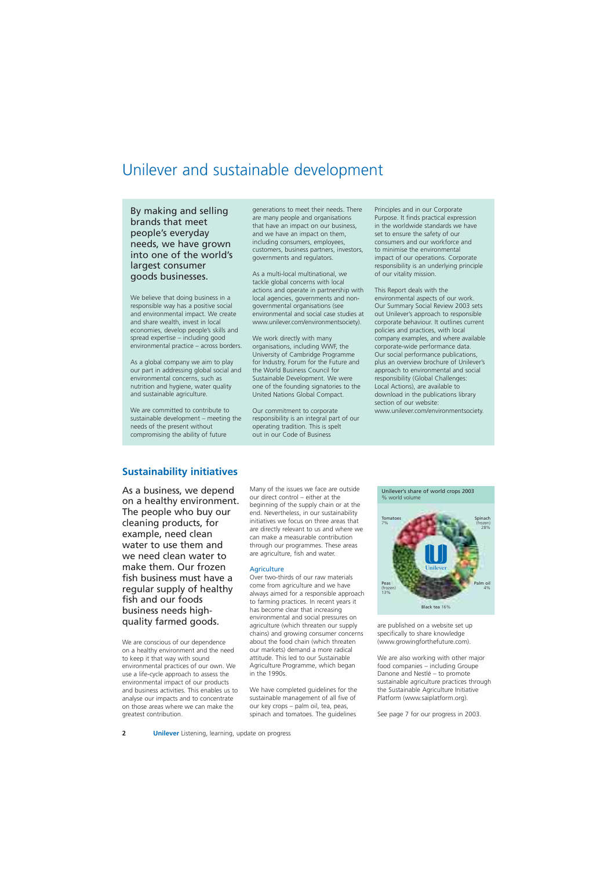## Unilever and sustainable development

By making and selling brands that meet people's everyday needs, we have grown into one of the world's largest consumer goods businesses.

We believe that doing business in a responsible way has a positive social and environmental impact. We create and share wealth, invest in local economies, develop people's skills and spread expertise – including good environmental practice – across borders.

As a global company we aim to play our part in addressing global social and environmental concerns, such as nutrition and hygiene, water quality and sustainable agriculture.

We are committed to contribute to sustainable development – meeting the needs of the present without compromising the ability of future

generations to meet their needs. There are many people and organisations that have an impact on our business, and we have an impact on them, including consumers, employees, customers, business partners, investors, governments and regulators.

As a multi-local multinational, we tackle global concerns with local actions and operate in partnership with local agencies, governments and nongovernmental organisations (see environmental and social case studies at www.unilever.com/environmentsociety).

We work directly with many organisations, including WWF, the University of Cambridge Programme for Industry, Forum for the Future and the World Business Council for Sustainable Development. We were one of the founding signatories to the United Nations Global Compact.

Our commitment to corporate responsibility is an integral part of our operating tradition. This is spelt out in our Code of Business

Principles and in our Corporate Purpose. It finds practical expression in the worldwide standards we have set to ensure the safety of our consumers and our workforce and to minimise the environmental impact of our operations. Corporate responsibility is an underlying principle of our vitality mission.

This Report deals with the environmental aspects of our work. Our Summary Social Review 2003 sets out Unilever's approach to responsible corporate behaviour. It outlines current policies and practices, with local company examples, and where available corporate-wide performance data. Our social performance publications, plus an overview brochure of Unilever's approach to environmental and social responsibility (Global Challenges: Local Actions), are available to download in the publications library section of our website: www.unilever.com/environmentsociety.

### **Sustainability initiatives**

As a business, we depend on a healthy environment. The people who buy our cleaning products, for example, need clean water to use them and we need clean water to make them. Our frozen fish business must have a regular supply of healthy fish and our foods business needs highquality farmed goods.

We are conscious of our dependence on a healthy environment and the need to keep it that way with sound environmental practices of our own. We use a life-cycle approach to assess the environmental impact of our products and business activities. This enables us to analyse our impacts and to concentrate on those areas where we can make the greatest contribution.

Many of the issues we face are outside our direct control – either at the beginning of the supply chain or at the end. Nevertheless, in our sustainability initiatives we focus on three areas that are directly relevant to us and where we can make a measurable contribution through our programmes. These areas are agriculture, fish and water.

### **Agriculture**

Over two-thirds of our raw materials come from agriculture and we have always aimed for a responsible approach to farming practices. In recent years it has become clear that increasing environmental and social pressures on agriculture (which threaten our supply chains) and growing consumer concerns about the food chain (which threaten our markets) demand a more radical attitude. This led to our Sustainable Agriculture Programme, which began in the 1990s.

We have completed guidelines for the sustainable management of all five of our key crops – palm oil, tea, peas, spinach and tomatoes. The guidelines

Unilever's share of world crops 2003 % world volume Tomatoes Spinach 7% (frozen) 28% Unilever Peas Peas Palm oil (frozen) **13% (frozen)** 4% **13%** Black tea 16%

are published on a website set up specifically to share knowledge (www.growingforthefuture.com).

We are also working with other major food companies – including Groupe Danone and Nestlé – to promote sustainable agriculture practices through the Sustainable Agriculture Initiative Platform (www.saiplatform.org).

See page 7 for our progress in 2003.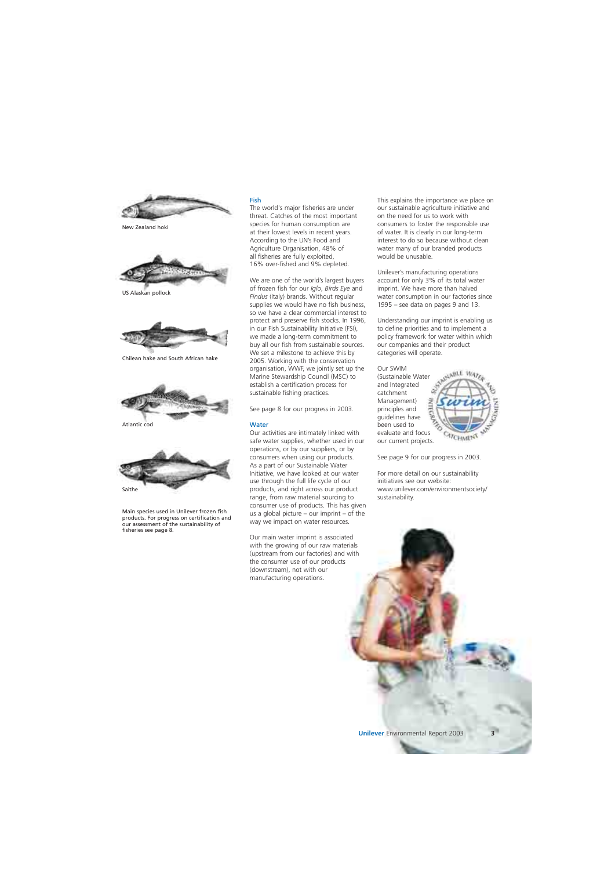

New Zealand hoki



US Alaskan pollock



Chilean hake and South African hake



Atlantic cod



Main species used in Unilever frozen fish products. For progress on certification and our assessment of the sustainability of fisheries see page 8.

### Fish

The world's major fisheries are under threat. Catches of the most important species for human consumption are at their lowest levels in recent years. According to the UN's Food and Agriculture Organisation, 48% of all fisheries are fully exploited, 16% over-fished and 9% depleted.

We are one of the world's largest buyers of frozen fish for our *Iglo*, *Birds Eye* and *Findus* (Italy) brands. Without regular supplies we would have no fish business, so we have a clear commercial interest to protect and preserve fish stocks. In 1996, in our Fish Sustainability Initiative (FSI), we made a long-term commitment to buy all our fish from sustainable sources. We set a milestone to achieve this by 2005. Working with the conservation organisation, WWF, we jointly set up the Marine Stewardship Council (MSC) to establish a certification process for sustainable fishing practices.

See page 8 for our progress in 2003.

#### **Water**

Our activities are intimately linked with safe water supplies, whether used in our operations, or by our suppliers, or by consumers when using our products. As a part of our Sustainable Water Initiative, we have looked at our water use through the full life cycle of our products, and right across our product range, from raw material sourcing to consumer use of products. This has given us a global picture – our imprint – of the way we impact on water resources.

Our main water imprint is associated with the growing of our raw materials (upstream from our factories) and with the consumer use of our products (downstream), not with our manufacturing operations.

This explains the importance we place on our sustainable agriculture initiative and on the need for us to work with consumers to foster the responsible use of water. It is clearly in our long-term interest to do so because without clean water many of our branded products would be unusable.

Unilever's manufacturing operations account for only 3% of its total water imprint. We have more than halved water consumption in our factories since 1995 – see data on pages 9 and 13.

Understanding our imprint is enabling us to define priorities and to implement a policy framework for water within which our companies and their product categories will operate.

Our SWIM (Sustainable Water and Integrated catchment Management) principles and guidelines have been used to evaluate and focus our current projects.



See page 9 for our progress in 2003.

For more detail on our sustainability initiatives see our website: www.unilever.com/environmentsociety/ sustainability.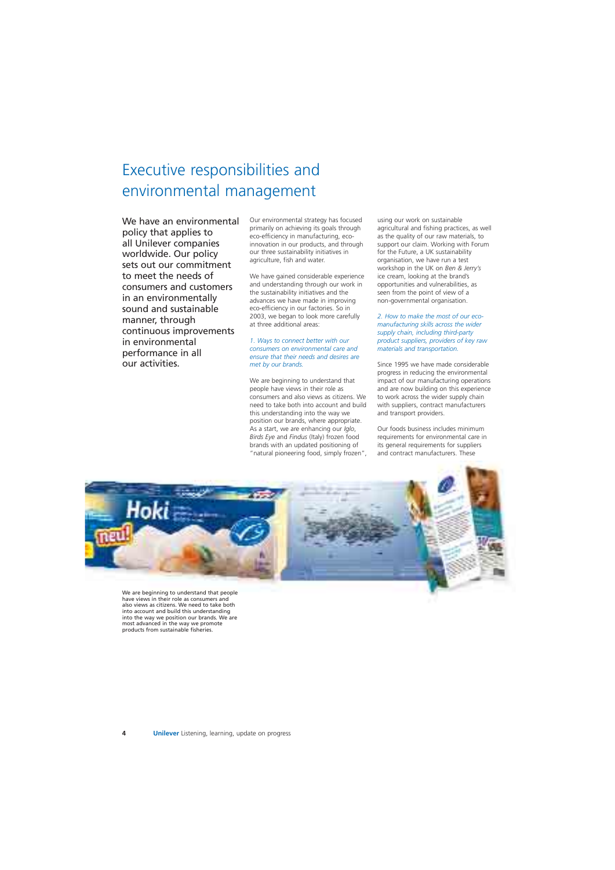# Executive responsibilities and environmental management

We have an environmental policy that applies to all Unilever companies worldwide. Our policy sets out our commitment to meet the needs of consumers and customers in an environmentally sound and sustainable manner, through continuous improvements in environmental performance in all our activities.

Our environmental strategy has focused primarily on achieving its goals through eco-efficiency in manufacturing, ecoinnovation in our products, and through our three sustainability initiatives in agriculture, fish and water.

We have gained considerable experience and understanding through our work in the sustainability initiatives and the advances we have made in improving eco-efficiency in our factories. So in 2003, we began to look more carefully at three additional areas:

#### *1. Ways to connect better with our consumers on environmental care and ensure that their needs and desires are met by our brands.*

We are beginning to understand that people have views in their role as consumers and also views as citizens. We need to take both into account and build this understanding into the way we position our brands, where appropriate. As a start, we are enhancing our *Iglo*, *Birds Eye* and *Findus* (Italy) frozen food brands with an updated positioning of "natural pioneering food, simply frozen", using our work on sustainable agricultural and fishing practices, as well as the quality of our raw materials, to support our claim. Working with Forum for the Future, a UK sustainability organisation, we have run a test workshop in the UK on *Ben & Jerry's*  ice cream, looking at the brand's opportunities and vulnerabilities, as seen from the point of view of a non-governmental organisation.

*2. How to make the most of our ecomanufacturing skills across the wider supply chain, including third-party product suppliers, providers of key raw materials and transportation.* 

Since 1995 we have made considerable progress in reducing the environmental impact of our manufacturing operations and are now building on this experience to work across the wider supply chain with suppliers, contract manufacturers and transport providers.

Our foods business includes minimum requirements for environmental care in its general requirements for suppliers and contract manufacturers. These



We are beginning to understand that people have views in their role as consumers and also views as citizens. We need to take both into account and build this understanding into the way we position our brands. We are most advanced in the way we promote products from sustainable fisheries.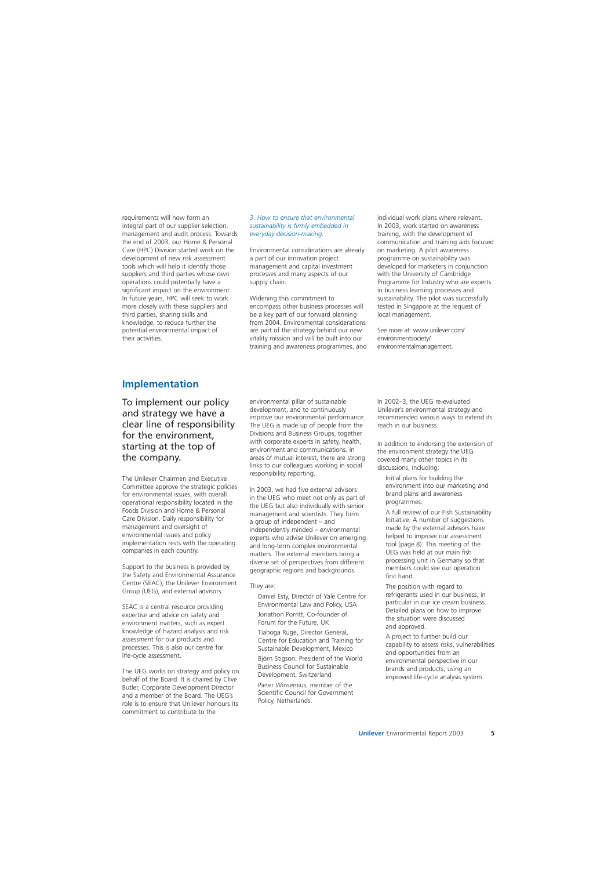requirements will now form an integral part of our supplier selection, management and audit process. Towards the end of 2003, our Home & Personal Care (HPC) Division started work on the development of new risk assessment tools which will help it identify those suppliers and third parties whose own operations could potentially have a significant impact on the environment. In future years, HPC will seek to work more closely with these suppliers and third parties, sharing skills and knowledge, to reduce further the potential environmental impact of their activities.

#### *3. How to ensure that environmental sustainability is firmly embedded in everyday decision-making.*

Environmental considerations are already a part of our innovation project management and capital investment processes and many aspects of our supply chain.

Widening this commitment to encompass other business processes will be a key part of our forward planning from 2004. Environmental considerations are part of the strategy behind our new vitality mission and will be built into our training and awareness programmes, and individual work plans where relevant. In 2003, work started on awareness training, with the development of communication and training aids focused on marketing. A pilot awareness programme on sustainability was developed for marketers in conjunction with the University of Cambridge Programme for Industry who are experts in business learning processes and sustainability. The pilot was successfully tested in Singapore at the request of local management.

See more at: www.unilever.com/ environmentsociety/ environmentalmanagement.

### **Implementation**

To implement our policy and strategy we have a clear line of responsibility for the environment, starting at the top of the company.

The Unilever Chairmen and Executive Committee approve the strategic policies for environmental issues, with overall operational responsibility located in the Foods Division and Home & Personal Care Division. Daily responsibility for management and oversight of environmental issues and policy implementation rests with the operating companies in each country.

Support to the business is provided by the Safety and Environmental Assurance Centre (SEAC), the Unilever Environment Group (UEG), and external advisors.

SEAC is a central resource providing expertise and advice on safety and environment matters, such as expert knowledge of hazard analysis and risk assessment for our products and processes. This is also our centre for life-cycle assessment.

The UEG works on strategy and policy on behalf of the Board. It is chaired by Clive Butler, Corporate Development Director and a member of the Board. The UEG's role is to ensure that Unilever honours its commitment to contribute to the

environmental pillar of sustainable development, and to continuously improve our environmental performance. The UEG is made up of people from the Divisions and Business Groups, together with corporate experts in safety, health, environment and communications. In areas of mutual interest, there are strong links to our colleagues working in social responsibility reporting.

In 2003, we had five external advisors in the UEG who meet not only as part of the UEG but also individually with senior management and scientists. They form a group of independent – and independently minded – environmental experts who advise Unilever on emerging and long-term complex environmental matters. The external members bring a diverse set of perspectives from different geographic regions and backgrounds.

### They are:

Daniel Esty, Director of Yale Centre for Environmental Law and Policy, USA Jonathon Porritt, Co-founder of Forum for the Future, UK

Tiahoga Ruge, Director General, Centre for Education and Training for Sustainable Development, Mexico Björn Stigson, President of the World Business Council for Sustainable Development, Switzerland

Pieter Winsemius, member of the Scientific Council for Government Policy, Netherlands.

In 2002–3, the UEG re-evaluated Unilever's environmental strategy and recommended various ways to extend its reach in our business.

In addition to endorsing the extension of the environment strategy the UEG covered many other topics in its discussions, including:

Initial plans for building the environment into our marketing and brand plans and awareness programmes.

A full review of our Fish Sustainability Initiative. A number of suggestions made by the external advisors have helped to improve our assessment tool (page 8). This meeting of the UEG was held at our main fish processing unit in Germany so that members could see our operation first hand.

The position with regard to refrigerants used in our business, in particular in our ice cream business. Detailed plans on how to improve the situation were discussed and approved.

A project to further build our capability to assess risks, vulnerabilities and opportunities from an environmental perspective in our brands and products, using an improved life-cycle analysis system.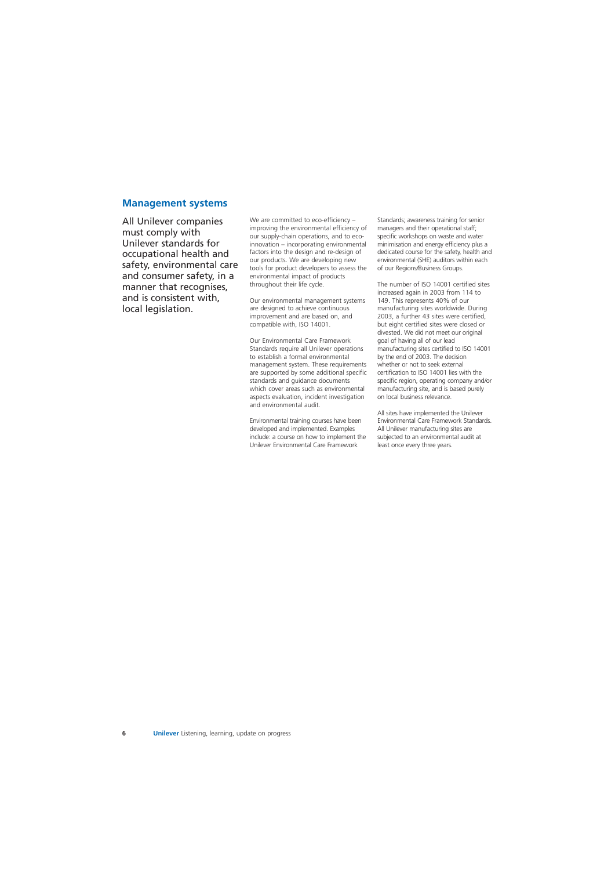### **Management systems**

All Unilever companies must comply with Unilever standards for occupational health and safety, environmental care and consumer safety, in a manner that recognises, and is consistent with, local legislation.

We are committed to eco-efficiency – improving the environmental efficiency of our supply-chain operations, and to ecoinnovation – incorporating environmental factors into the design and re-design of our products. We are developing new tools for product developers to assess the environmental impact of products throughout their life cycle.

Our environmental management systems are designed to achieve continuous improvement and are based on, and compatible with, ISO 14001.

Our Environmental Care Framework Standards require all Unilever operations to establish a formal environmental management system. These requirements are supported by some additional specific standards and guidance documents which cover areas such as environmental aspects evaluation, incident investigation and environmental audit.

Environmental training courses have been developed and implemented. Examples include: a course on how to implement the Unilever Environmental Care Framework

Standards; awareness training for senior managers and their operational staff; specific workshops on waste and water minimisation and energy efficiency plus a dedicated course for the safety, health and environmental (SHE) auditors within each of our Regions/Business Groups.

The number of ISO 14001 certified sites increased again in 2003 from 114 to 149. This represents 40% of our manufacturing sites worldwide. During 2003, a further 43 sites were certified, but eight certified sites were closed or divested. We did not meet our original goal of having all of our lead manufacturing sites certified to ISO 14001 by the end of 2003. The decision whether or not to seek external certification to ISO 14001 lies with the specific region, operating company and/or manufacturing site, and is based purely on local business relevance.

All sites have implemented the Unilever Environmental Care Framework Standards. All Unilever manufacturing sites are subjected to an environmental audit at least once every three years.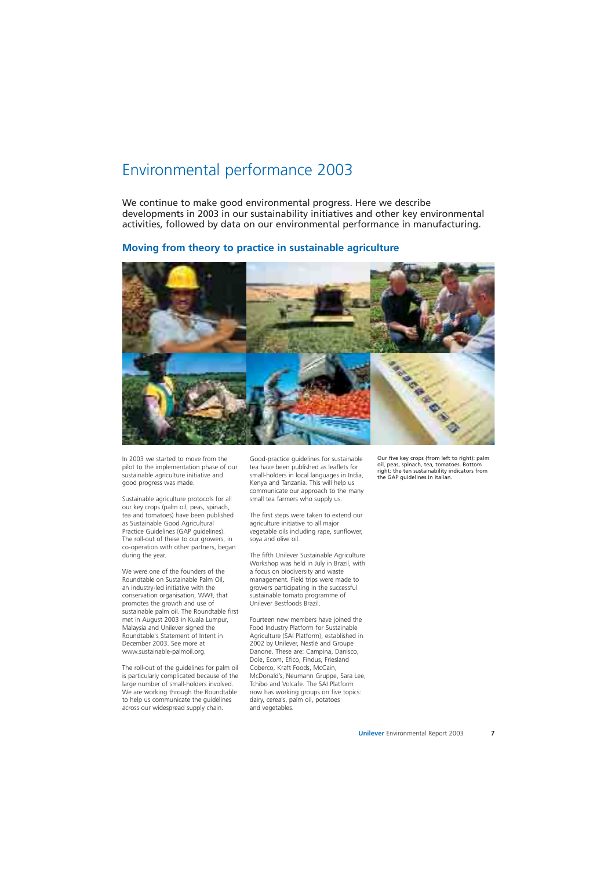## Environmental performance 2003

We continue to make good environmental progress. Here we describe developments in 2003 in our sustainability initiatives and other key environmental activities, followed by data on our environmental performance in manufacturing.

### **Moving from theory to practice in sustainable agriculture**



In 2003 we started to move from the pilot to the implementation phase of our sustainable agriculture initiative and good progress was made.

Sustainable agriculture protocols for all our key crops (palm oil, peas, spinach, tea and tomatoes) have been published as Sustainable Good Agricultural Practice Guidelines (GAP guidelines). The roll-out of these to our growers, in co-operation with other partners, began during the year.

We were one of the founders of the Roundtable on Sustainable Palm Oil, an industry-led initiative with the conservation organisation, WWF, that promotes the growth and use of sustainable palm oil. The Roundtable first met in August 2003 in Kuala Lumpur, Malaysia and Unilever signed the Roundtable's Statement of Intent in December 2003. See more at www.sustainable-palmoil.org.

The roll-out of the guidelines for palm oil is particularly complicated because of the large number of small-holders involved. We are working through the Roundtable to help us communicate the guidelines across our widespread supply chain.

Good-practice guidelines for sustainable tea have been published as leaflets for small-holders in local languages in India, Kenya and Tanzania. This will help us communicate our approach to the many small tea farmers who supply us.

The first steps were taken to extend our agriculture initiative to all major vegetable oils including rape, sunflower, soya and olive oil.

The fifth Unilever Sustainable Agriculture Workshop was held in July in Brazil, with a focus on biodiversity and waste management. Field trips were made to growers participating in the successful sustainable tomato programme of Unilever Bestfoods Brazil.

Fourteen new members have joined the Food Industry Platform for Sustainable Agriculture (SAI Platform), established in 2002 by Unilever, Nestlé and Groupe Danone. These are: Campina, Danisco, Dole, Ecom, Efico, Findus, Friesland Coberco, Kraft Foods, McCain, McDonald's, Neumann Gruppe, Sara Lee, Tchibo and Volcafe. The SAI Platform now has working groups on five topics: dairy, cereals, palm oil, potatoes and vegetables.

Our five key crops (from left to right): palm oil, peas, spinach, tea, tomatoes. Bottom right: the ten sustainability indicators from the GAP guidelines in Italian.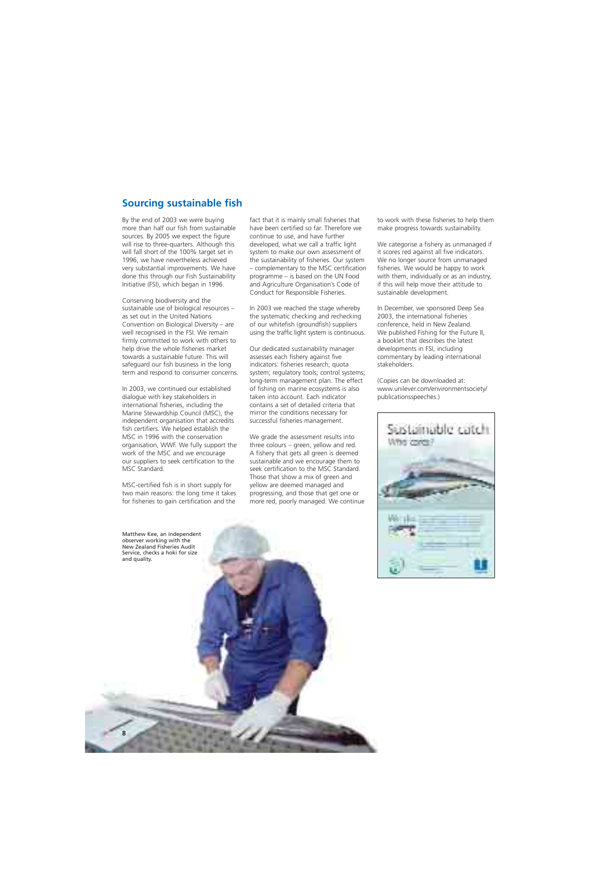## **Sourcing sustainable fish**

By the end of 2003 we were buying more than half our fish from sustainable sources. By 2005 we expect the figure will rise to three-quarters. Although this will fall short of the 100% target set in 1996, we have nevertheless achieved very substantial improvements. We have done this through our Fish Sustainability Initiative (FSI), which began in 1996.

Conserving biodiversity and the sustainable use of biological resources – as set out in the United Nations Convention on Biological Diversity – are well recognised in the FSI. We remain firmly committed to work with others to help drive the whole fisheries market towards a sustainable future. This will safeguard our fish business in the long term and respond to consumer concerns.

In 2003, we continued our established dialogue with key stakeholders in international fisheries, including the Marine Stewardship Council (MSC), the independent organisation that accredits fish certifiers. We helped establish the MSC in 1996 with the conservation organisation, WWF. We fully support the work of the MSC and we encourage our suppliers to seek certification to the MSC Standard.

MSC-certified fish is in short supply for two main reasons: the long time it takes for fisheries to gain certification and the

fact that it is mainly small fisheries that have been certified so far. Therefore we continue to use, and have further developed, what we call a traffic light system to make our own assessment of the sustainability of fisheries. Our system – complementary to the MSC certification programme – is based on the UN Food and Agriculture Organisation's Code of Conduct for Responsible Fisheries.

In 2003 we reached the stage whereby the systematic checking and rechecking of our whitefish (groundfish) suppliers using the traffic light system is continuous.

Our dedicated sustainability manager assesses each fishery against five indicators: fisheries research; quota system; regulatory tools; control systems; long-term management plan. The effect of fishing on marine ecosystems is also taken into account. Each indicator contains a set of detailed criteria that mirror the conditions necessary for successful fisheries management.

We grade the assessment results into three colours – green, yellow and red. A fishery that gets all green is deemed sustainable and we encourage them to seek certification to the MSC Standard. Those that show a mix of green and yellow are deemed managed and progressing, and those that get one or more red, poorly managed. We continue to work with these fisheries to help them make progress towards sustainability.

We categorise a fishery as unmanaged if it scores red against all five indicators. We no longer source from unmanaged fisheries. We would be happy to work with them, individually or as an industry, if this will help move their attitude to sustainable development.

In December, we sponsored Deep Sea 2003, the international fisheries conference, held in New Zealand. We published Fishing for the Future II, a booklet that describes the latest developments in FSI, including commentary by leading international stakeholders.

(Copies can be downloaded at: www.unilever.com/environmentsociety/ publicationsspeeches.)



Matthew Kee, an independent observer working with the New Zealand Fisheries Audit Service, checks a hoki for size and quality.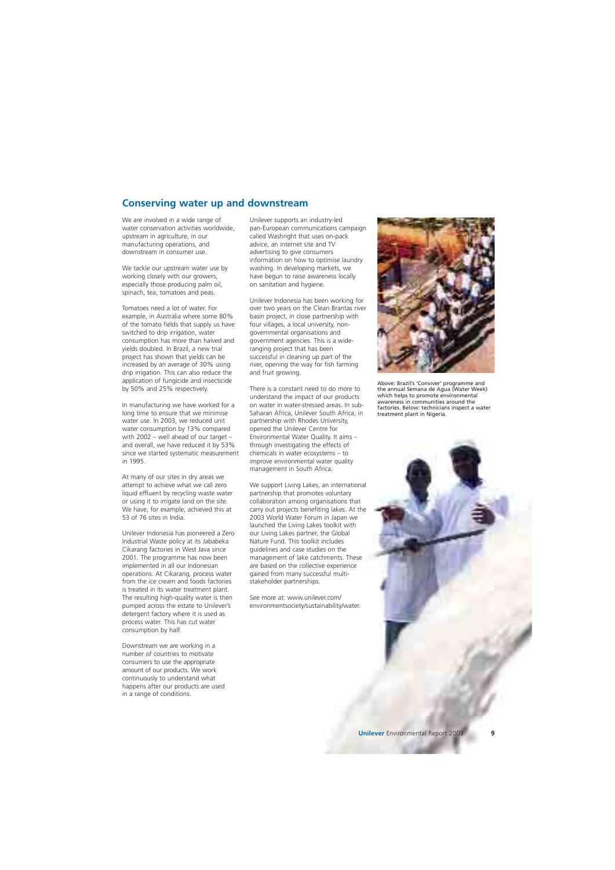### **Conserving water up and downstream**

We are involved in a wide range of water conservation activities worldwide, upstream in agriculture, in our manufacturing operations, and downstream in consumer use.

We tackle our upstream water use by working closely with our growers, especially those producing palm oil, spinach, tea, tomatoes and peas.

Tomatoes need a lot of water. For example, in Australia where some 80% of the tomato fields that supply us have switched to drip irrigation, water consumption has more than halved and yields doubled. In Brazil, a new trial project has shown that yields can be increased by an average of 30% using drip irrigation. This can also reduce the application of fungicide and insecticide by 50% and 25% respectively.

In manufacturing we have worked for a long time to ensure that we minimise water use. In 2003, we reduced unit water consumption by 13% compared with 2002 – well ahead of our target – and overall, we have reduced it by 53% since we started systematic measurement in 1995.

At many of our sites in dry areas we attempt to achieve what we call zero liquid effluent by recycling waste water or using it to irrigate land on the site. We have, for example, achieved this at 53 of 76 sites in India.

Unilever Indonesia has pioneered a Zero Industrial Waste policy at its Jababeka Cikarang factories in West Java since 2001. The programme has now been implemented in all our Indonesian operations. At Cikarang, process water from the ice cream and foods factories is treated in its water treatment plant. The resulting high-quality water is then pumped across the estate to Unilever's detergent factory where it is used as process water. This has cut water consumption by half.

Downstream we are working in a number of countries to motivate consumers to use the appropriate amount of our products. We work continuously to understand what happens after our products are used in a range of conditions.

Unilever supports an industry-led pan-European communications campaign called Washright that uses on-pack advice, an internet site and TV advertising to give consumers information on how to optimise laundry washing. In developing markets, we have begun to raise awareness locally on sanitation and hygiene.

Unilever Indonesia has been working for over two years on the Clean Brantas river basin project, in close partnership with four villages, a local university, nongovernmental organisations and government agencies. This is a wideranging project that has been successful in cleaning up part of the river, opening the way for fish farming and fruit growing.

There is a constant need to do more to understand the impact of our products on water in water-stressed areas. In sub-Saharan Africa, Unilever South Africa, in partnership with Rhodes University, opened the Unilever Centre for Environmental Water Quality. It aims – through investigating the effects of chemicals in water ecosystems – to improve environmental water quality management in South Africa.

We support Living Lakes, an international partnership that promotes voluntary collaboration among organisations that carry out projects benefiting lakes. At the 2003 World Water Forum in Japan we launched the Living Lakes toolkit with our Living Lakes partner, the Global Nature Fund. This toolkit includes guidelines and case studies on the management of lake catchments. These are based on the collective experience gained from many successful multistakeholder partnerships.

See more at: www.unilever.com/ environmentsociety/sustainability/water.



Above: Brazil's 'Conviver' programme and the annual Semana de Agua (Water Week) which helps to promote environmental awareness in communities around the factories. Below: technicians inspect a water treatment plant in Nigeria.

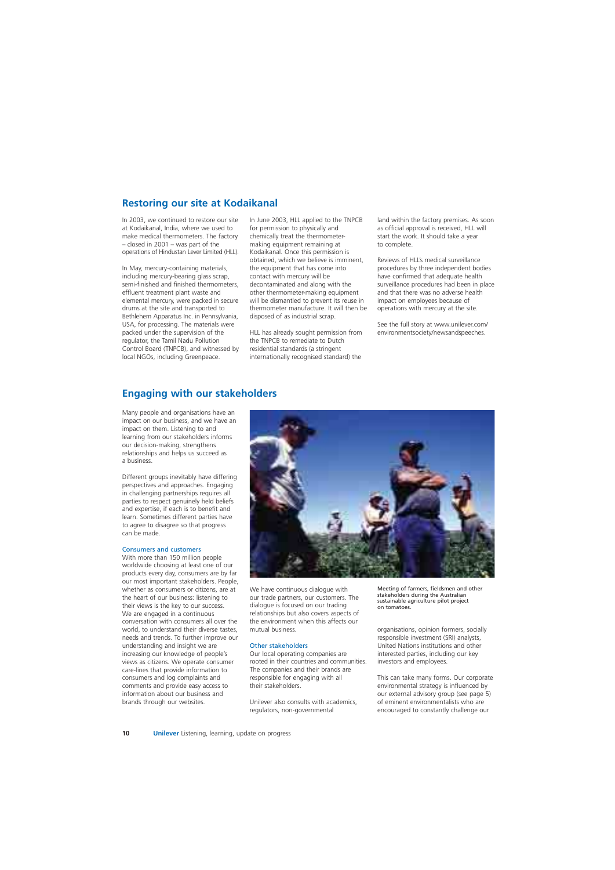## **Restoring our site at Kodaikanal**

In 2003, we continued to restore our site at Kodaikanal, India, where we used to make medical thermometers. The factory – closed in 2001 – was part of the operations of Hindustan Lever Limited (HLL).

In May, mercury-containing materials, including mercury-bearing glass scrap, semi-finished and finished thermometers, effluent treatment plant waste and elemental mercury, were packed in secure drums at the site and transported to Bethlehem Apparatus Inc. in Pennsylvania, USA, for processing. The materials were packed under the supervision of the regulator, the Tamil Nadu Pollution Control Board (TNPCB), and witnessed by local NGOs, including Greenpeace.

In June 2003, HLL applied to the TNPCB for permission to physically and chemically treat the thermometermaking equipment remaining at Kodaikanal. Once this permission is obtained, which we believe is imminent, the equipment that has come into contact with mercury will be decontaminated and along with the other thermometer-making equipment will be dismantled to prevent its reuse in thermometer manufacture. It will then be disposed of as industrial scrap.

HLL has already sought permission from the TNPCB to remediate to Dutch residential standards (a stringent internationally recognised standard) the

land within the factory premises. As soon as official approval is received, HLL will start the work. It should take a year to complete.

Reviews of HLL's medical surveillance procedures by three independent bodies have confirmed that adequate health surveillance procedures had been in place and that there was no adverse health impact on employees because of operations with mercury at the site.

See the full story at www.unilever.com/ environmentsociety/newsandspeeches.

### **Engaging with our stakeholders**

Many people and organisations have an impact on our business, and we have an impact on them. Listening to and learning from our stakeholders informs our decision-making, strengthens relationships and helps us succeed as a business.

Different groups inevitably have differing perspectives and approaches. Engaging in challenging partnerships requires all parties to respect genuinely held beliefs and expertise, if each is to benefit and learn. Sometimes different parties have to agree to disagree so that progress can be made.

#### Consumers and customers

With more than 150 million people worldwide choosing at least one of our products every day, consumers are by far our most important stakeholders. People, whether as consumers or citizens, are at the heart of our business: listening to their views is the key to our success. We are engaged in a continuous conversation with consumers all over the world, to understand their diverse tastes, needs and trends. To further improve our understanding and insight we are increasing our knowledge of people's views as citizens. We operate consumer care-lines that provide information to consumers and log complaints and comments and provide easy access to information about our business and brands through our websites.



We have continuous dialogue with our trade partners, our customers. The dialogue is focused on our trading relationships but also covers aspects of the environment when this affects our mutual business.

#### Other stakeholders

Our local operating companies are rooted in their countries and communities. The companies and their brands are responsible for engaging with all their stakeholders.

Unilever also consults with academics, regulators, non-governmental

Meeting of farmers, fieldsmen and other stakeholders during the Australian sustainable agriculture pilot project on tomatoes.

organisations, opinion formers, socially responsible investment (SRI) analysts, United Nations institutions and other interested parties, including our key investors and employees.

This can take many forms. Our corporate environmental strategy is influenced by our external advisory group (see page 5) of eminent environmentalists who are encouraged to constantly challenge our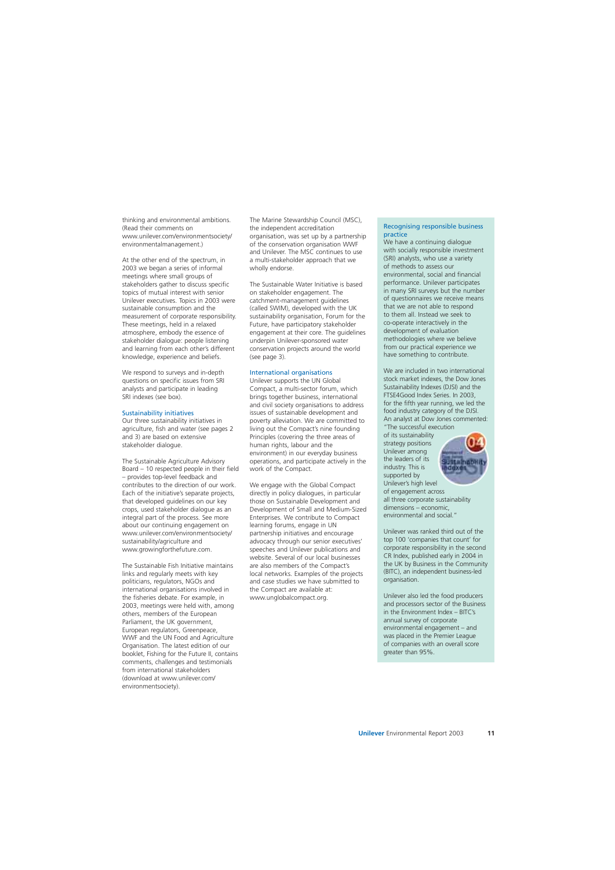thinking and environmental ambitions. (Read their comments on www.unilever.com/environmentsociety/ environmentalmanagement.)

At the other end of the spectrum, in 2003 we began a series of informal meetings where small groups of stakeholders gather to discuss specific topics of mutual interest with senior Unilever executives. Topics in 2003 were sustainable consumption and the measurement of corporate responsibility. These meetings, held in a relaxed atmosphere, embody the essence of stakeholder dialogue: people listening and learning from each other's different knowledge, experience and beliefs.

We respond to surveys and in-depth questions on specific issues from SRI analysts and participate in leading SRI indexes (see box).

#### Sustainability initiatives

Our three sustainability initiatives in agriculture, fish and water (see pages 2 and 3) are based on extensive stakeholder dialogue.

The Sustainable Agriculture Advisory Board – 10 respected people in their field – provides top-level feedback and contributes to the direction of our work. Each of the initiative's separate projects, that developed guidelines on our key crops, used stakeholder dialogue as an integral part of the process. See more about our continuing engagement on www.unilever.com/environmentsociety/ sustainability/agriculture and www.growingforthefuture.com.

The Sustainable Fish Initiative maintains links and regularly meets with key politicians, regulators, NGOs and international organisations involved in the fisheries debate. For example, in 2003, meetings were held with, among others, members of the European Parliament, the UK government, European regulators, Greenpeace, WWF and the UN Food and Agriculture Organisation. The latest edition of our booklet, Fishing for the Future II, contains comments, challenges and testimonials from international stakeholders (download at www.unilever.com/ environmentsociety).

The Marine Stewardship Council (MSC), the independent accreditation organisation, was set up by a partnership of the conservation organisation WWF and Unilever. The MSC continues to use a multi-stakeholder approach that we wholly endorse.

The Sustainable Water Initiative is based on stakeholder engagement. The catchment-management guidelines (called SWIM), developed with the UK sustainability organisation, Forum for the Future, have participatory stakeholder engagement at their core. The guidelines underpin Unilever-sponsored water conservation projects around the world (see page 3).

#### International organisations

Unilever supports the UN Global Compact, a multi-sector forum, which brings together business, international and civil society organisations to address issues of sustainable development and poverty alleviation. We are committed to living out the Compact's nine founding Principles (covering the three areas of human rights, labour and the environment) in our everyday business operations, and participate actively in the work of the Compact.

We engage with the Global Compact directly in policy dialogues, in particular those on Sustainable Development and Development of Small and Medium-Sized Enterprises. We contribute to Compact learning forums, engage in UN partnership initiatives and encourage advocacy through our senior executives' speeches and Unilever publications and website. Several of our local businesses are also members of the Compact's local networks. Examples of the projects and case studies we have submitted to the Compact are available at: www.unglobalcompact.org.

#### Recognising responsible business practice

We have a continuing dialogue with socially responsible investment (SRI) analysts, who use a variety of methods to assess our environmental, social and financial performance. Unilever participates in many SRI surveys but the number of questionnaires we receive means that we are not able to respond to them all. Instead we seek to co-operate interactively in the development of evaluation methodologies where we believe from our practical experience we have something to contribute.

We are included in two international stock market indexes, the Dow Jones Sustainability Indexes (DJSI) and the FTSE4Good Index Series. In 2003, for the fifth year running, we led the food industry category of the DJSI. An analyst at Dow Jones commented: "The successful execution

of its sustainability strategy positions Unilever among the leaders of its industry. This is supported by Unilever's high level



of engagement across all three corporate sustainability dimensions – economic, environmental and social."

Unilever was ranked third out of the top 100 'companies that count' for corporate responsibility in the second CR Index, published early in 2004 in the UK by Business in the Community (BITC), an independent business-led organisation.

Unilever also led the food producers and processors sector of the Business in the Environment Index – BITC's annual survey of corporate environmental engagement – and was placed in the Premier League of companies with an overall score greater than 95%.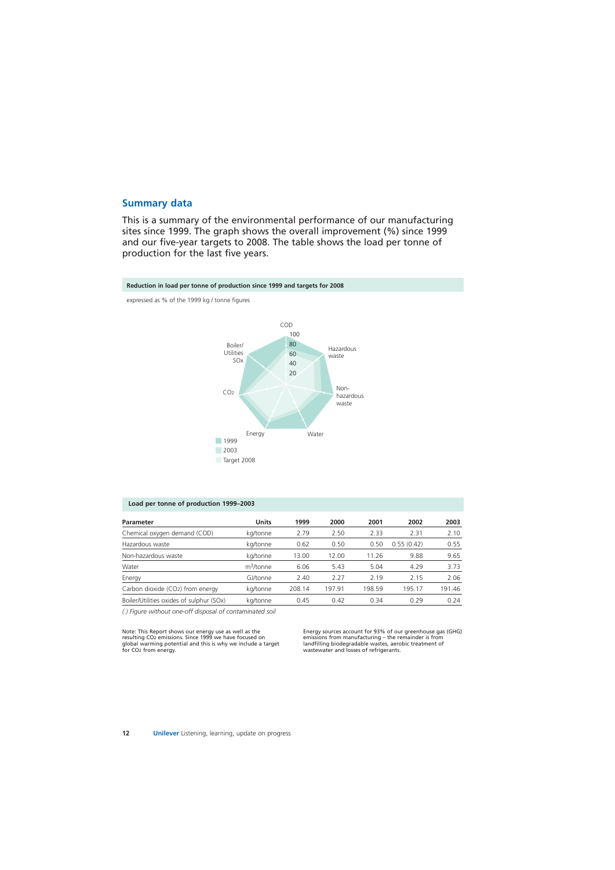### **Summary data**

This is a summary of the environmental performance of our manufacturing sites since 1999. The graph shows the overall improvement (%) since 1999 and our five-year targets to 2008. The table shows the load per tonne of production for the last five years.



### **Load per tonne of production 1999–2003**

| <b>Parameter</b>                         | <b>Units</b>          | 1999   | 2000   | 2001   | 2002       | 2003   |
|------------------------------------------|-----------------------|--------|--------|--------|------------|--------|
| Chemical oxygen demand (COD)             | kg/tonne              | 2.79   | 2.50   | 2.33   | 2.31       | 2.10   |
| Hazardous waste                          | kg/tonne              | 0.62   | 0.50   | 0.50   | 0.55(0.42) | 0.55   |
| Non-hazardous waste                      | kg/tonne              | 13.00  | 12.00  | 11.26  | 9.88       | 9.65   |
| Water                                    | m <sup>3</sup> /tonne | 6.06   | 5.43   | 5.04   | 4.29       | 3.73   |
| Energy                                   | GJ/tonne              | 2.40   | 2.27   | 2.19   | 2.15       | 2.06   |
| Carbon dioxide (CO2) from energy         | kg/tonne              | 208.14 | 197.91 | 198.59 | 195.17     | 191.46 |
| Boiler/Utilities oxides of sulphur (SOx) | kg/tonne              | 0.45   | 0.42   | 0.34   | 0.29       | 0.24   |

*( ) Figure without one-off disposal of contaminated soil* 

Note: This Report shows our energy use as well as the Energy sources account for 93% of our greenhouse gas (GHG)<br>
resulting CO2 emissions. Since 1999 we have focused on emissions from manufacturing – the remainder is from resulting CO2 emissions. Since 1999 we have focused on emissions from manufacturing – the remainder is from global warming potential and this is why we include a target landfilling biodegradable wastes, aerobic treatment o global warming potential and this is why we include a target for CO<sub>2</sub> from energy.

wastewater and losses of refrigerants.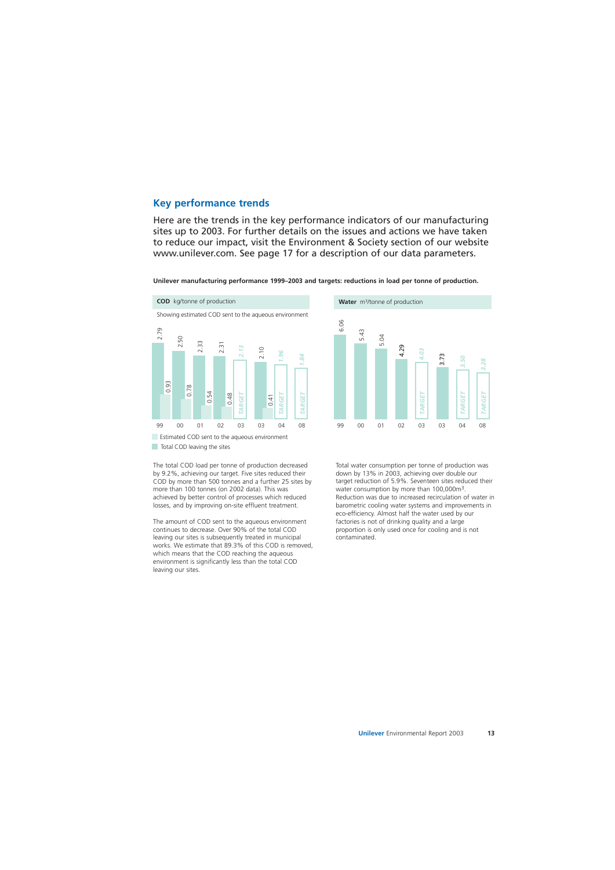### **Key performance trends**

Here are the trends in the key performance indicators of our manufacturing sites up to 2003. For further details on the issues and actions we have taken to reduce our impact, visit the Environment & Society section of our website www.unilever.com. See page 17 for a description of our data parameters.

**Unilever manufacturing performance 1999–2003 and targets: reductions in load per tonne of production.** 



6.06

down by 13% in 2003, achieving over double our target reduction of 5.9%. Seventeen sites reduced their water consumption by more than 100,000m3. Reduction was due to increased recirculation of water in barometric cooling water systems and improvements in eco-efficiency. Almost half the water used by our factories is not of drinking quality and a large proportion is only used once for cooling and is not contaminated.

The total COD load per tonne of production decreased by 9.2%, achieving our target. Five sites reduced their COD by more than 500 tonnes and a further 25 sites by more than 100 tonnes (on 2002 data). This was achieved by better control of processes which reduced losses, and by improving on-site effluent treatment.

The amount of COD sent to the aqueous environment continues to decrease. Over 90% of the total COD leaving our sites is subsequently treated in municipal works. We estimate that 89.3% of this COD is removed, which means that the COD reaching the aqueous environment is significantly less than the total COD leaving our sites.

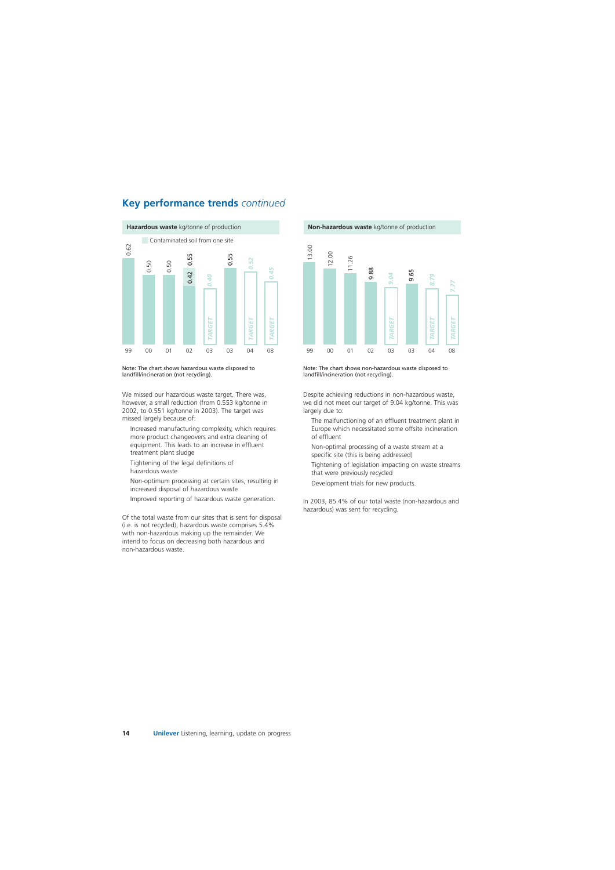### **Key performance trends** *continued*



Note: The chart shows hazardous waste disposed to landfill/incineration (not recycling).

We missed our hazardous waste target. There was, however, a small reduction (from 0.553 kg/tonne in 2002, to 0.551 kg/tonne in 2003). The target was missed largely because of:

- Increased manufacturing complexity, which requires more product changeovers and extra cleaning of equipment. This leads to an increase in effluent treatment plant sludge
- Tightening of the legal definitions of hazardous waste
- Non-optimum processing at certain sites, resulting in increased disposal of hazardous waste
- Improved reporting of hazardous waste generation.

Of the total waste from our sites that is sent for disposal (i.e. is not recycled), hazardous waste comprises 5.4% with non-hazardous making up the remainder. We intend to focus on decreasing both hazardous and non-hazardous waste.





Note: The chart shows non-hazardous waste disposed to landfill/incineration (not recycling).

Despite achieving reductions in non-hazardous waste, we did not meet our target of 9.04 kg/tonne. This was largely due to:

- The malfunctioning of an effluent treatment plant in Europe which necessitated some offsite incineration of effluent
- Non-optimal processing of a waste stream at a specific site (this is being addressed)
- Tightening of legislation impacting on waste streams that were previously recycled
- Development trials for new products.

In 2003, 85.4% of our total waste (non-hazardous and hazardous) was sent for recycling.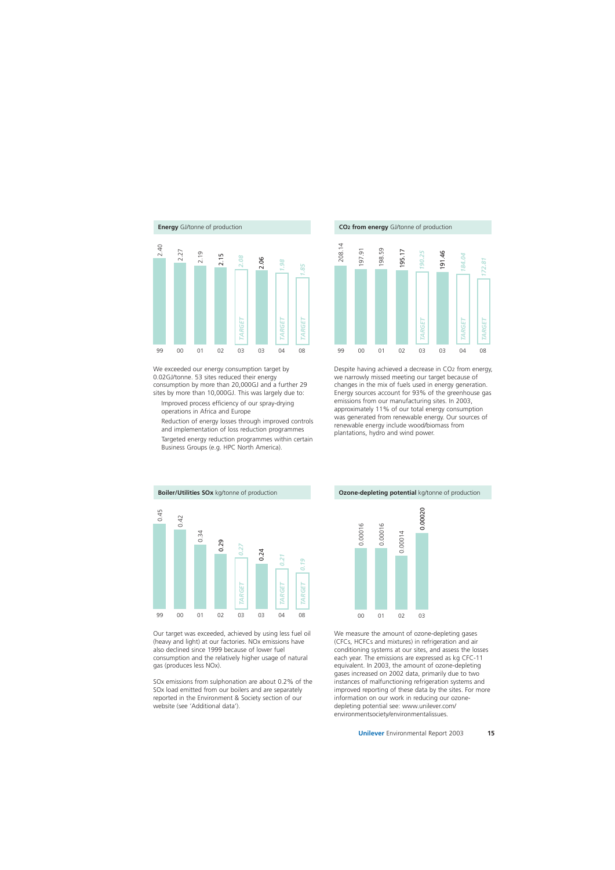

We exceeded our energy consumption target by 0.02GJ/tonne. 53 sites reduced their energy consumption by more than 20,000GJ and a further 29 sites by more than 10,000GJ. This was largely due to:

Improved process efficiency of our spray-drying operations in Africa and Europe

Reduction of energy losses through improved controls and implementation of loss reduction programmes

Targeted energy reduction programmes within certain Business Groups (e.g. HPC North America).





Despite having achieved a decrease in CO2 from energy, we narrowly missed meeting our target because of changes in the mix of fuels used in energy generation. Energy sources account for 93% of the greenhouse gas emissions from our manufacturing sites. In 2003, approximately 11% of our total energy consumption was generated from renewable energy. Our sources of renewable energy include wood/biomass from plantations, hydro and wind power. 0.00020 *TARGET*



Our target was exceeded, achieved by using less fuel oil (heavy and light) at our factories. NOx emissions have also declined since 1999 because of lower fuel consumption and the relatively higher usage of natural gas (produces less NOx).

SOx emissions from sulphonation are about 0.2% of the SOx load emitted from our boilers and are separately reported in the Environment & Society section of our website (see 'Additional data').



We measure the amount of ozone-depleting gases (CFCs, HCFCs and mixtures) in refrigeration and air conditioning systems at our sites, and assess the losses each year. The emissions are expressed as kg CFC-11 equivalent. In 2003, the amount of ozone-depleting gases increased on 2002 data, primarily due to two instances of malfunctioning refrigeration systems and improved reporting of these data by the sites. For more information on our work in reducing our ozonedepleting potential see: www.unilever.com/ environmentsociety/environmentalissues.

**Ozone-depleting potential** kg/tonne of production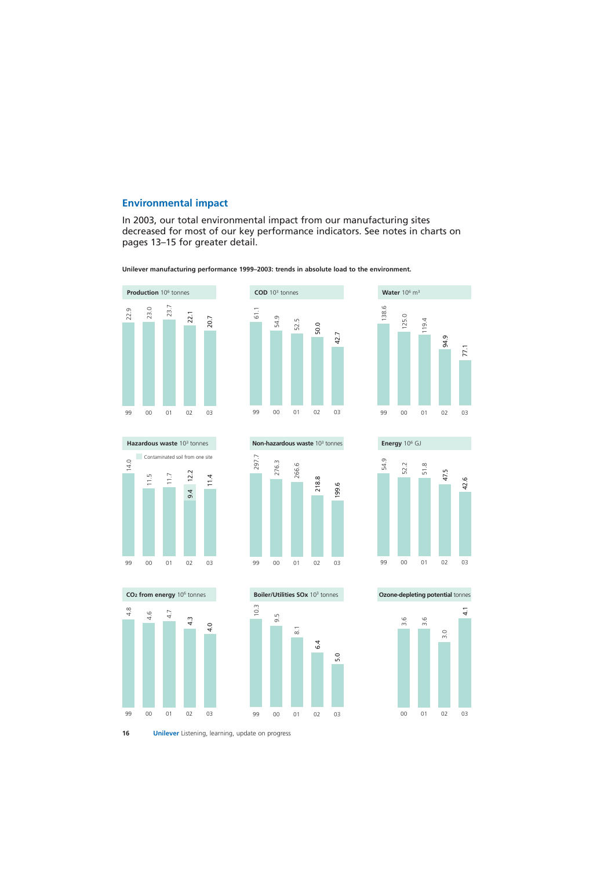### **Environmental impact**

In 2003, our total environmental impact from our manufacturing sites decreased for most of our key performance indicators. See notes in charts on pages 13–15 for greater detail.

**Unilever manufacturing performance 1999–2003: trends in absolute load to the environment.** 

















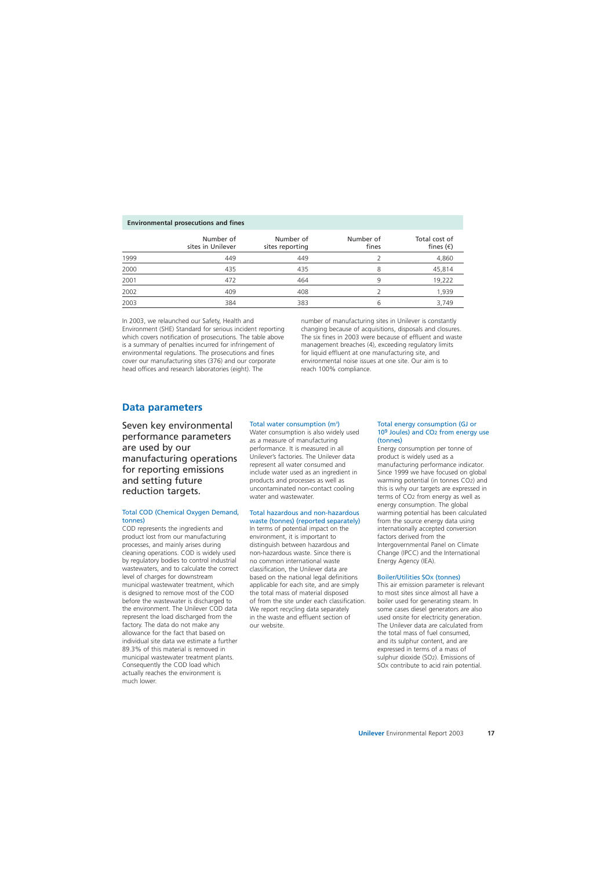#### **Environmental prosecutions and fines**

|      | Number of<br>sites in Unilever | Number of<br>sites reporting | Number of<br>fines | Total cost of<br>fines $(\epsilon)$ |
|------|--------------------------------|------------------------------|--------------------|-------------------------------------|
| 1999 | 449                            | 449                          |                    | 4,860                               |
| 2000 | 435                            | 435                          | 8                  | 45,814                              |
| 2001 | 472                            | 464                          | 9                  | 19,222                              |
| 2002 | 409                            | 408                          |                    | 1,939                               |
| 2003 | 384                            | 383                          | 6                  | 3,749                               |

In 2003, we relaunched our Safety, Health and Environment (SHE) Standard for serious incident reporting which covers notification of prosecutions. The table above is a summary of penalties incurred for infringement of environmental regulations. The prosecutions and fines cover our manufacturing sites (376) and our corporate head offices and research laboratories (eight). The

number of manufacturing sites in Unilever is constantly changing because of acquisitions, disposals and closures. The six fines in 2003 were because of effluent and waste management breaches (4), exceeding regulatory limits for liquid effluent at one manufacturing site, and environmental noise issues at one site. Our aim is to reach 100% compliance.

### **Data parameters**

Seven key environmental performance parameters are used by our manufacturing operations for reporting emissions and setting future reduction targets.

#### Total COD (Chemical Oxygen Demand, tonnes)

COD represents the ingredients and product lost from our manufacturing processes, and mainly arises during cleaning operations. COD is widely used by regulatory bodies to control industrial wastewaters, and to calculate the correct level of charges for downstream municipal wastewater treatment, which is designed to remove most of the COD before the wastewater is discharged to the environment. The Unilever COD data represent the load discharged from the factory. The data do not make any allowance for the fact that based on individual site data we estimate a further 89.3% of this material is removed in municipal wastewater treatment plants. Consequently the COD load which actually reaches the environment is much lower.

### Total water consumption (m<sup>3</sup>)

Water consumption is also widely used as a measure of manufacturing performance. It is measured in all Unilever's factories. The Unilever data represent all water consumed and include water used as an ingredient in products and processes as well as uncontaminated non-contact cooling water and wastewater.

#### Total hazardous and non-hazardous waste (tonnes) (reported separately)

In terms of potential impact on the environment, it is important to distinguish between hazardous and non-hazardous waste. Since there is no common international waste classification, the Unilever data are based on the national legal definitions applicable for each site, and are simply the total mass of material disposed of from the site under each classification. We report recycling data separately in the waste and effluent section of our website.

#### Total energy consumption (GJ or 109 Joules) and CO2 from energy use (tonnes)

Energy consumption per tonne of product is widely used as a manufacturing performance indicator. Since 1999 we have focused on global warming potential (in tonnes CO2) and this is why our targets are expressed in terms of CO2 from energy as well as energy consumption. The global warming potential has been calculated from the source energy data using internationally accepted conversion factors derived from the Intergovernmental Panel on Climate Change (IPCC) and the International Energy Agency (IEA).

### Boiler/Utilities SOX (tonnes)

This air emission parameter is relevant to most sites since almost all have a boiler used for generating steam. In some cases diesel generators are also used onsite for electricity generation. The Unilever data are calculated from the total mass of fuel consumed, and its sulphur content, and are expressed in terms of a mass of sulphur dioxide (SO2). Emissions of SOX contribute to acid rain potential.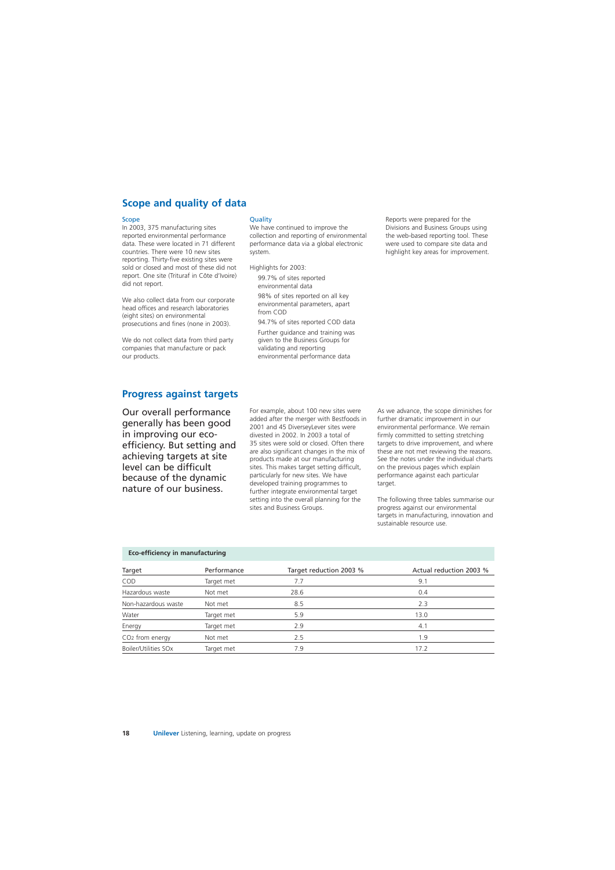## **Scope and quality of data**

#### Scope

In 2003, 375 manufacturing sites reported environmental performance data. These were located in 71 different countries. There were 10 new sites reporting. Thirty-five existing sites were sold or closed and most of these did not report. One site (Trituraf in Côte d'Ivoire) did not report.

We also collect data from our corporate head offices and research laboratories (eight sites) on environmental prosecutions and fines (none in 2003).

We do not collect data from third party companies that manufacture or pack our products.

#### **Quality**

We have continued to improve the collection and reporting of environmental performance data via a global electronic system.

Highlights for 2003:

99.7% of sites reported environmental data

98% of sites reported on all key environmental parameters, apart from COD

94.7% of sites reported COD data

Further guidance and training was given to the Business Groups for validating and reporting environmental performance data

Reports were prepared for the Divisions and Business Groups using the web-based reporting tool. These were used to compare site data and highlight key areas for improvement.

### **Progress against targets**

Our overall performance generally has been good in improving our ecoefficiency. But setting and achieving targets at site level can be difficult because of the dynamic nature of our business.

For example, about 100 new sites were added after the merger with Bestfoods in 2001 and 45 DiverseyLever sites were divested in 2002. In 2003 a total of 35 sites were sold or closed. Often there are also significant changes in the mix of products made at our manufacturing sites. This makes target setting difficult, particularly for new sites. We have developed training programmes to further integrate environmental target setting into the overall planning for the sites and Business Groups.

As we advance, the scope diminishes for further dramatic improvement in our environmental performance. We remain firmly committed to setting stretching targets to drive improvement, and where these are not met reviewing the reasons. See the notes under the individual charts on the previous pages which explain performance against each particular target.

The following three tables summarise our progress against our environmental targets in manufacturing, innovation and sustainable resource use.

|  | Eco-efficiency in manufacturing |
|--|---------------------------------|
|  |                                 |

| Target                      | Performance | Target reduction 2003 % | Actual reduction 2003 % |
|-----------------------------|-------------|-------------------------|-------------------------|
| COD                         | Target met  | 7.7                     | 9.1                     |
| Hazardous waste             | Not met     | 28.6                    | 0.4                     |
| Non-hazardous waste         | Not met     | 8.5                     | 2.3                     |
| Water                       | Target met  | 5.9                     | 13.0                    |
| Energy                      | Target met  | 2.9                     | 4.1                     |
| CO <sub>2</sub> from energy | Not met     | 2.5                     | 1.9                     |
| Boiler/Utilities SOx        | Target met  | 7.9                     | 17.2                    |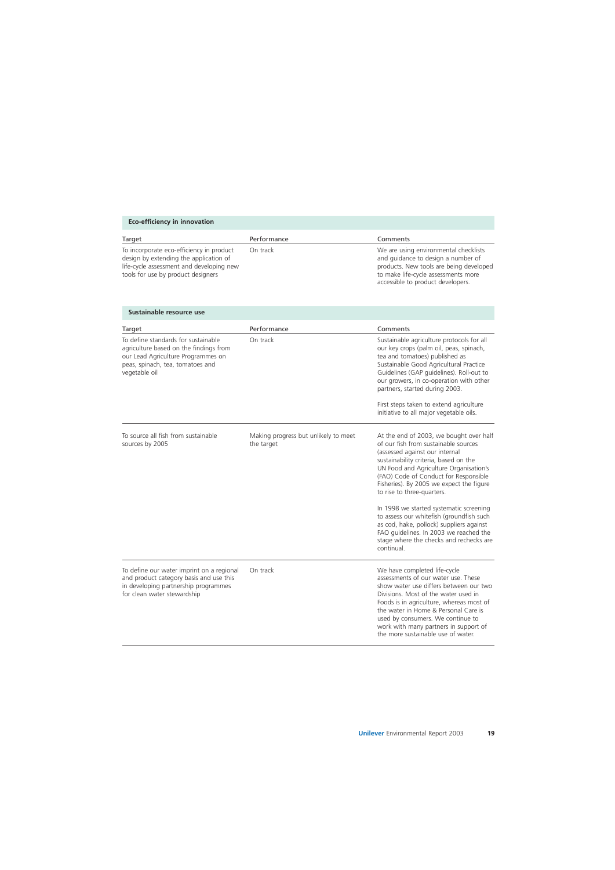### **Eco-efficiency in innovation**

| Target                                                                                                                                                               | Performance | Comments                                                                                                                                                                                           |
|----------------------------------------------------------------------------------------------------------------------------------------------------------------------|-------------|----------------------------------------------------------------------------------------------------------------------------------------------------------------------------------------------------|
| To incorporate eco-efficiency in product<br>design by extending the application of<br>life-cycle assessment and developing new<br>tools for use by product designers | On track    | We are using environmental checklists<br>and guidance to design a number of<br>products. New tools are being developed<br>to make life-cycle assessments more<br>accessible to product developers. |

### **Sustainable resource use**

| Target                                                                                                                                                                   | Performance                                        | Comments                                                                                                                                                                                                                                                                                                                                                                                                                                                                                                                                                      |
|--------------------------------------------------------------------------------------------------------------------------------------------------------------------------|----------------------------------------------------|---------------------------------------------------------------------------------------------------------------------------------------------------------------------------------------------------------------------------------------------------------------------------------------------------------------------------------------------------------------------------------------------------------------------------------------------------------------------------------------------------------------------------------------------------------------|
| To define standards for sustainable<br>agriculture based on the findings from<br>our Lead Agriculture Programmes on<br>peas, spinach, tea, tomatoes and<br>vegetable oil | On track                                           | Sustainable agriculture protocols for all<br>our key crops (palm oil, peas, spinach,<br>tea and tomatoes) published as<br>Sustainable Good Agricultural Practice<br>Guidelines (GAP guidelines). Roll-out to<br>our growers, in co-operation with other<br>partners, started during 2003.<br>First steps taken to extend agriculture                                                                                                                                                                                                                          |
|                                                                                                                                                                          |                                                    | initiative to all major vegetable oils.                                                                                                                                                                                                                                                                                                                                                                                                                                                                                                                       |
| To source all fish from sustainable<br>sources by 2005                                                                                                                   | Making progress but unlikely to meet<br>the target | At the end of 2003, we bought over half<br>of our fish from sustainable sources<br>(assessed against our internal<br>sustainability criteria, based on the<br>UN Food and Agriculture Organisation's<br>(FAO) Code of Conduct for Responsible<br>Fisheries). By 2005 we expect the figure<br>to rise to three-quarters.<br>In 1998 we started systematic screening<br>to assess our whitefish (groundfish such<br>as cod, hake, pollock) suppliers against<br>FAO guidelines. In 2003 we reached the<br>stage where the checks and rechecks are<br>continual. |
| To define our water imprint on a regional<br>and product category basis and use this<br>in developing partnership programmes<br>for clean water stewardship              | On track                                           | We have completed life-cycle<br>assessments of our water use. These<br>show water use differs between our two<br>Divisions. Most of the water used in<br>Foods is in agriculture, whereas most of<br>the water in Home & Personal Care is<br>used by consumers. We continue to<br>work with many partners in support of<br>the more sustainable use of water.                                                                                                                                                                                                 |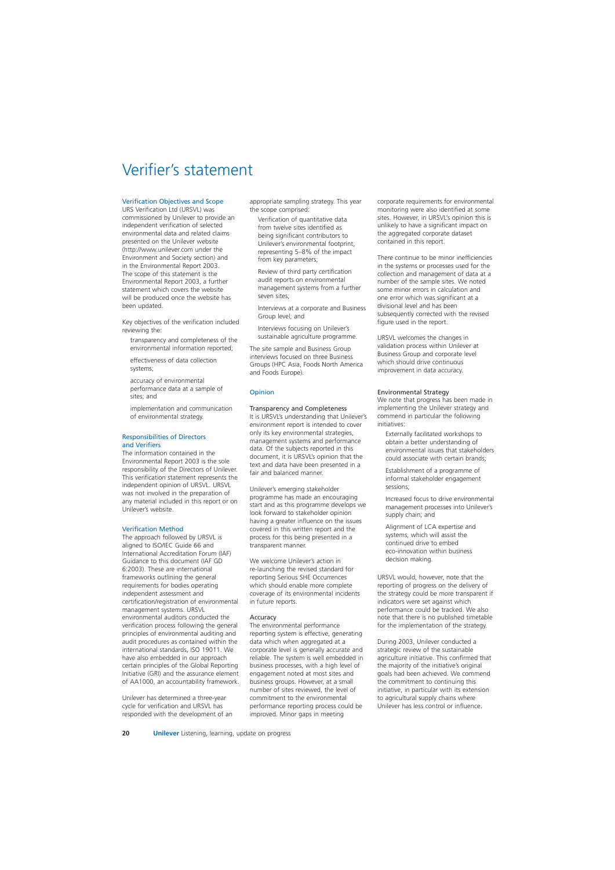## Verifier's statement

### Verification Objectives and Scope

URS Verification Ltd (URSVL) was commissioned by Unilever to provide an independent verification of selected environmental data and related claims presented on the Unilever website (http://www.unilever.com under the Environment and Society section) and in the Environmental Report 2003. The scope of this statement is the Environmental Report 2003, a further statement which covers the website will be produced once the website has been updated.

Key objectives of the verification included reviewing the:

- transparency and completeness of the environmental information reported;
- effectiveness of data collection systems;
- accuracy of environmental performance data at a sample of sites; and
- implementation and communication of environmental strategy.

### Responsibilities of Directors and Verifiers

The information contained in the Environmental Report 2003 is the sole responsibility of the Directors of Unilever. This verification statement represents the independent opinion of URSVL. URSVL was not involved in the preparation of any material included in this report or on Unilever's website.

### Verification Method

The approach followed by URSVL is aligned to ISO/IEC Guide 66 and International Accreditation Forum (IAF) Guidance to this document (IAF GD 6:2003). These are international frameworks outlining the general requirements for bodies operating independent assessment and certification/registration of environmental management systems. URSVL environmental auditors conducted the verification process following the general principles of environmental auditing and audit procedures as contained within the international standards, ISO 19011. We have also embedded in our approach certain principles of the Global Reporting Initiative (GRI) and the assurance element of AA1000, an accountability framework.

Unilever has determined a three-year cycle for verification and URSVL has responded with the development of an appropriate sampling strategy. This year the scope comprised:

Verification of quantitative data from twelve sites identified as being significant contributors to Unilever's environmental footprint, representing 5–8% of the impact from key parameters;

Review of third party certification audit reports on environmental management systems from a further seven sites;

Interviews at a corporate and Business Group level; and

Interviews focusing on Unilever's sustainable agriculture programme.

The site sample and Business Group interviews focused on three Business Groups (HPC Asia, Foods North America and Foods Europe).

### **Opinion**

### Transparency and Completeness

It is URSVL's understanding that Unilever's environment report is intended to cover only its key environmental strategies, management systems and performance data. Of the subjects reported in this document, it is URSVL's opinion that the text and data have been presented in a fair and balanced manner.

Unilever's emerging stakeholder programme has made an encouraging start and as this programme develops we look forward to stakeholder opinion having a greater influence on the issues covered in this written report and the process for this being presented in a transparent manner.

We welcome Unilever's action in re-launching the revised standard for reporting Serious SHE Occurrences which should enable more complete coverage of its environmental incidents in future reports.

### **Accuracy**

The environmental performance reporting system is effective, generating data which when aggregated at a corporate level is generally accurate and reliable. The system is well embedded in business processes, with a high level of engagement noted at most sites and business groups. However, at a small number of sites reviewed, the level of commitment to the environmental performance reporting process could be improved. Minor gaps in meeting

corporate requirements for environmental monitoring were also identified at some sites. However, in URSVL's opinion this is unlikely to have a significant impact on the aggregated corporate dataset contained in this report.

There continue to be minor inefficiencies in the systems or processes used for the collection and management of data at a number of the sample sites. We noted some minor errors in calculation and one error which was significant at a divisional level and has been subsequently corrected with the revised figure used in the report.

URSVL welcomes the changes in validation process within Unilever at Business Group and corporate level which should drive continuous improvement in data accuracy.

### Environmental Strategy

We note that progress has been made in implementing the Unilever strategy and commend in particular the following initiatives:

Externally facilitated workshops to obtain a better understanding of environmental issues that stakeholders could associate with certain brands;

Establishment of a programme of informal stakeholder engagement sessions;

Increased focus to drive environmental management processes into Unilever's supply chain; and

Alignment of LCA expertise and systems, which will assist the continued drive to embed eco-innovation within business decision making.

URSVL would, however, note that the reporting of progress on the delivery of the strategy could be more transparent if indicators were set against which performance could be tracked. We also note that there is no published timetable for the implementation of the strategy.

During 2003, Unilever conducted a strategic review of the sustainable agriculture initiative. This confirmed that the majority of the initiative's original goals had been achieved. We commend the commitment to continuing this initiative, in particular with its extension to agricultural supply chains where Unilever has less control or influence.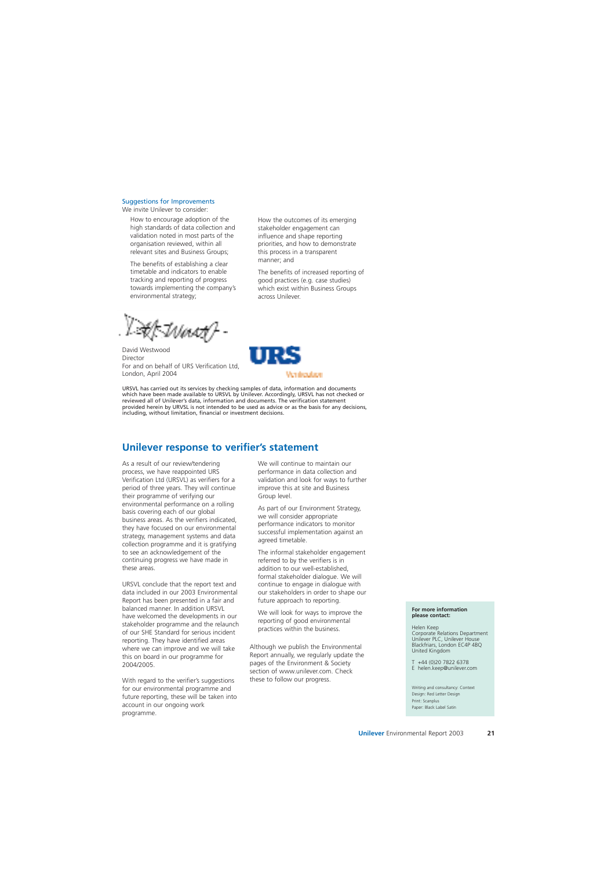### Suggestions for Improvements

We invite Unilever to consider:

How to encourage adoption of the high standards of data collection and validation noted in most parts of the organisation reviewed, within all relevant sites and Business Groups;

The benefits of establishing a clear timetable and indicators to enable tracking and reporting of progress towards implementing the company's environmental strategy;

Af Iriaan

David Westwood Director For and on behalf of URS Verification Ltd, London, April 2004



manner; and

across Unilever.

How the outcomes of its emerging stakeholder engagement can influence and shape reporting priorities, and how to demonstrate this process in a transparent

The benefits of increased reporting of good practices (e.g. case studies) which exist within Business Groups

URSVL has carried out its services by checking samples of data, information and documents which have been made available to URSVL by Unilever. Accordingly, URSVL has not checked or reviewed all of Unilever's data, information and documents. The verification statement provided herein by URVSL is not intended to be used as advice or as the basis for any decisions, including, without limitation, financial or investment decisions.

### **Unilever response to verifier's statement**

As a result of our review/tendering process, we have reappointed URS Verification Ltd (URSVL) as verifiers for a period of three years. They will continue their programme of verifying our environmental performance on a rolling basis covering each of our global business areas. As the verifiers indicated, they have focused on our environmental strategy, management systems and data collection programme and it is gratifying to see an acknowledgement of the continuing progress we have made in these areas.

URSVL conclude that the report text and data included in our 2003 Environmental Report has been presented in a fair and balanced manner. In addition URSVL have welcomed the developments in our stakeholder programme and the relaunch of our SHE Standard for serious incident reporting. They have identified areas where we can improve and we will take this on board in our programme for 2004/2005.

With regard to the verifier's suggestions for our environmental programme and future reporting, these will be taken into account in our ongoing work programme.

We will continue to maintain our performance in data collection and validation and look for ways to further improve this at site and Business Group level.

As part of our Environment Strategy, we will consider appropriate performance indicators to monitor successful implementation against an agreed timetable.

The informal stakeholder engagement referred to by the verifiers is in addition to our well-established, formal stakeholder dialogue. We will continue to engage in dialogue with our stakeholders in order to shape our future approach to reporting.

We will look for ways to improve the reporting of good environmental practices within the business.

Although we publish the Environmental Report annually, we regularly update the pages of the Environment & Society section of www.unilever.com. Check these to follow our progress.

#### **For more information please contact:**

Helen Keep Corporate Relations Department

Unilever PLC, Unilever House Blackfriars, London EC4P 4BQ United Kingdom

T +44 (0)20 7822 6378 E helen.keep@unilever.com

Writing and consultancy: Context Design: Red Letter Design Print: Scanplus Paper: Black Label Satin